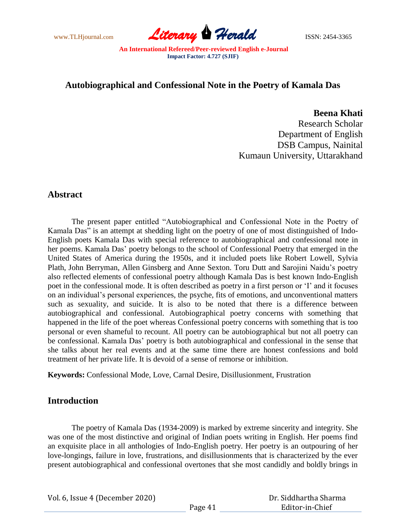www.TLHjournal.com **Literary Herald** ISSN: 2454-3365

## **Autobiographical and Confessional Note in the Poetry of Kamala Das**

**Beena Khati**

Research Scholar Department of English DSB Campus, Nainital Kumaun University, Uttarakhand

# **Abstract**

The present paper entitled "Autobiographical and Confessional Note in the Poetry of Kamala Das" is an attempt at shedding light on the poetry of one of most distinguished of Indo-English poets Kamala Das with special reference to autobiographical and confessional note in her poems. Kamala Das' poetry belongs to the school of Confessional Poetry that emerged in the United States of America during the 1950s, and it included poets like Robert Lowell, Sylvia Plath, John Berryman, Allen Ginsberg and Anne Sexton. Toru Dutt and Sarojini Naidu"s poetry also reflected elements of confessional poetry although Kamala Das is best known Indo-English poet in the confessional mode. It is often described as poetry in a first person or 'I' and it focuses on an individual"s personal experiences, the psyche, fits of emotions, and unconventional matters such as sexuality, and suicide. It is also to be noted that there is a difference between autobiographical and confessional. Autobiographical poetry concerns with something that happened in the life of the poet whereas Confessional poetry concerns with something that is too personal or even shameful to recount. All poetry can be autobiographical but not all poetry can be confessional. Kamala Das" poetry is both autobiographical and confessional in the sense that she talks about her real events and at the same time there are honest confessions and bold treatment of her private life. It is devoid of a sense of remorse or inhibition.

**Keywords:** Confessional Mode, Love, Carnal Desire, Disillusionment, Frustration

## **Introduction**

The poetry of Kamala Das (1934-2009) is marked by extreme sincerity and integrity. She was one of the most distinctive and original of Indian poets writing in English. Her poems find an exquisite place in all anthologies of Indo-English poetry. Her poetry is an outpouring of her love-longings, failure in love, frustrations, and disillusionments that is characterized by the ever present autobiographical and confessional overtones that she most candidly and boldly brings in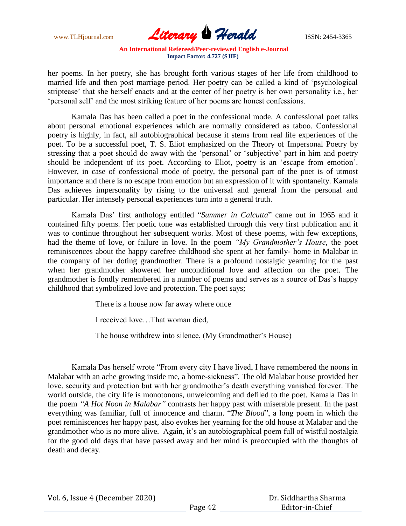

her poems. In her poetry, she has brought forth various stages of her life from childhood to married life and then post marriage period. Her poetry can be called a kind of "psychological striptease" that she herself enacts and at the center of her poetry is her own personality i.e., her "personal self" and the most striking feature of her poems are honest confessions.

Kamala Das has been called a poet in the confessional mode. A confessional poet talks about personal emotional experiences which are normally considered as taboo. Confessional poetry is highly, in fact, all autobiographical because it stems from real life experiences of the poet. To be a successful poet, T. S. Eliot emphasized on the Theory of Impersonal Poetry by stressing that a poet should do away with the 'personal' or 'subjective' part in him and poetry should be independent of its poet. According to Eliot, poetry is an "escape from emotion". However, in case of confessional mode of poetry, the personal part of the poet is of utmost importance and there is no escape from emotion but an expression of it with spontaneity. Kamala Das achieves impersonality by rising to the universal and general from the personal and particular. Her intensely personal experiences turn into a general truth.

Kamala Das" first anthology entitled "*Summer in Calcutta*" came out in 1965 and it contained fifty poems. Her poetic tone was established through this very first publication and it was to continue throughout her subsequent works. Most of these poems, with few exceptions, had the theme of love, or failure in love. In the poem *"My Grandmother's House,* the poet reminiscences about the happy carefree childhood she spent at her family- home in Malabar in the company of her doting grandmother. There is a profound nostalgic yearning for the past when her grandmother showered her unconditional love and affection on the poet. The grandmother is fondly remembered in a number of poems and serves as a source of Das"s happy childhood that symbolized love and protection. The poet says;

There is a house now far away where once

I received love…That woman died,

The house withdrew into silence, (My Grandmother's House)

Kamala Das herself wrote "From every city I have lived, I have remembered the noons in Malabar with an ache growing inside me, a home-sickness". The old Malabar house provided her love, security and protection but with her grandmother's death everything vanished forever. The world outside, the city life is monotonous, unwelcoming and defiled to the poet. Kamala Das in the poem *"A Hot Noon in Malabar"* contrasts her happy past with miserable present. In the past everything was familiar, full of innocence and charm. "*The Blood*", a long poem in which the poet reminiscences her happy past, also evokes her yearning for the old house at Malabar and the grandmother who is no more alive. Again, it's an autobiographical poem full of wistful nostalgia for the good old days that have passed away and her mind is preoccupied with the thoughts of death and decay.

Vol. 6, Issue 4 (December 2020)

 Dr. Siddhartha Sharma Editor-in-Chief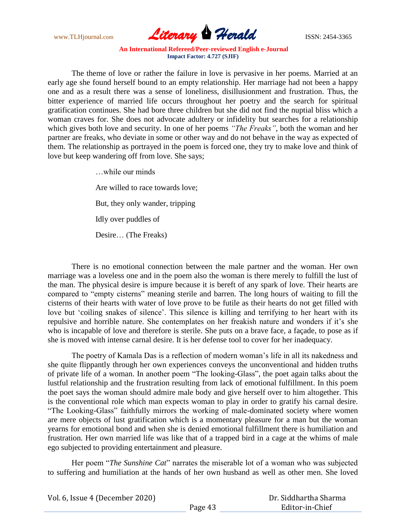

The theme of love or rather the failure in love is pervasive in her poems. Married at an early age she found herself bound to an empty relationship. Her marriage had not been a happy one and as a result there was a sense of loneliness, disillusionment and frustration. Thus, the bitter experience of married life occurs throughout her poetry and the search for spiritual gratification continues. She had bore three children but she did not find the nuptial bliss which a woman craves for. She does not advocate adultery or infidelity but searches for a relationship which gives both love and security. In one of her poems *"The Freaks"*, both the woman and her partner are freaks, who deviate in some or other way and do not behave in the way as expected of them. The relationship as portrayed in the poem is forced one, they try to make love and think of love but keep wandering off from love. She says;

> …while our minds Are willed to race towards love; But, they only wander, tripping Idly over puddles of Desire… (The Freaks)

There is no emotional connection between the male partner and the woman. Her own marriage was a loveless one and in the poem also the woman is there merely to fulfill the lust of the man. The physical desire is impure because it is bereft of any spark of love. Their hearts are compared to "empty cisterns" meaning sterile and barren. The long hours of waiting to fill the cisterns of their hearts with water of love prove to be futile as their hearts do not get filled with love but 'coiling snakes of silence'. This silence is killing and terrifying to her heart with its repulsive and horrible nature. She contemplates on her freakish nature and wonders if it"s she who is incapable of love and therefore is sterile. She puts on a brave face, a façade, to pose as if she is moved with intense carnal desire. It is her defense tool to cover for her inadequacy.

The poetry of Kamala Das is a reflection of modern woman"s life in all its nakedness and she quite flippantly through her own experiences conveys the unconventional and hidden truths of private life of a woman. In another poem "The looking-Glass", the poet again talks about the lustful relationship and the frustration resulting from lack of emotional fulfillment. In this poem the poet says the woman should admire male body and give herself over to him altogether. This is the conventional role which man expects woman to play in order to gratify his carnal desire. "The Looking-Glass" faithfully mirrors the working of male-dominated society where women are mere objects of lust gratification which is a momentary pleasure for a man but the woman yearns for emotional bond and when she is denied emotional fulfillment there is humiliation and frustration. Her own married life was like that of a trapped bird in a cage at the whims of male ego subjected to providing entertainment and pleasure.

Her poem "*The Sunshine Cat*" narrates the miserable lot of a woman who was subjected to suffering and humiliation at the hands of her own husband as well as other men. She loved

| Vol. 6, Issue 4 (December 2020) |         | Dr. Siddhartha Sharma |
|---------------------------------|---------|-----------------------|
|                                 | Page 43 | Editor-in-Chief       |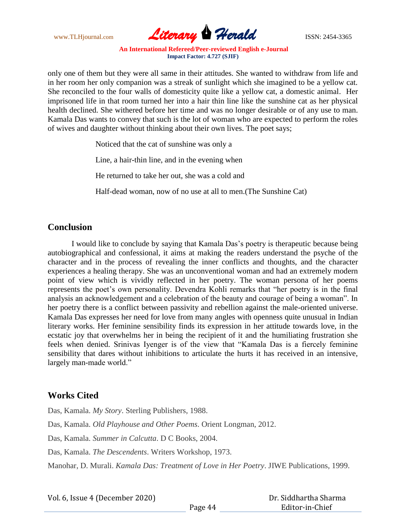

only one of them but they were all same in their attitudes. She wanted to withdraw from life and in her room her only companion was a streak of sunlight which she imagined to be a yellow cat. She reconciled to the four walls of domesticity quite like a yellow cat, a domestic animal. Her imprisoned life in that room turned her into a hair thin line like the sunshine cat as her physical health declined. She withered before her time and was no longer desirable or of any use to man. Kamala Das wants to convey that such is the lot of woman who are expected to perform the roles of wives and daughter without thinking about their own lives. The poet says;

Noticed that the cat of sunshine was only a

Line, a hair-thin line, and in the evening when

He returned to take her out, she was a cold and

Half-dead woman, now of no use at all to men.(The Sunshine Cat)

## **Conclusion**

I would like to conclude by saying that Kamala Das"s poetry is therapeutic because being autobiographical and confessional, it aims at making the readers understand the psyche of the character and in the process of revealing the inner conflicts and thoughts, and the character experiences a healing therapy. She was an unconventional woman and had an extremely modern point of view which is vividly reflected in her poetry. The woman persona of her poems represents the poet"s own personality. Devendra Kohli remarks that "her poetry is in the final analysis an acknowledgement and a celebration of the beauty and courage of being a woman". In her poetry there is a conflict between passivity and rebellion against the male-oriented universe. Kamala Das expresses her need for love from many angles with openness quite unusual in Indian literary works. Her feminine sensibility finds its expression in her attitude towards love, in the ecstatic joy that overwhelms her in being the recipient of it and the humiliating frustration she feels when denied. Srinivas Iyenger is of the view that "Kamala Das is a fiercely feminine sensibility that dares without inhibitions to articulate the hurts it has received in an intensive, largely man-made world."

## **Works Cited**

Das, Kamala. *My Story*. Sterling Publishers, 1988. Das, Kamala. *Old Playhouse and Other Poems*. Orient Longman, 2012. Das, Kamala. *Summer in Calcutta*. D C Books, 2004. Das, Kamala. *The Descendents*. Writers Workshop, 1973. Manohar, D. Murali. *Kamala Das: Treatment of Love in Her Poetry*. JIWE Publications, 1999.

 Dr. Siddhartha Sharma Editor-in-Chief